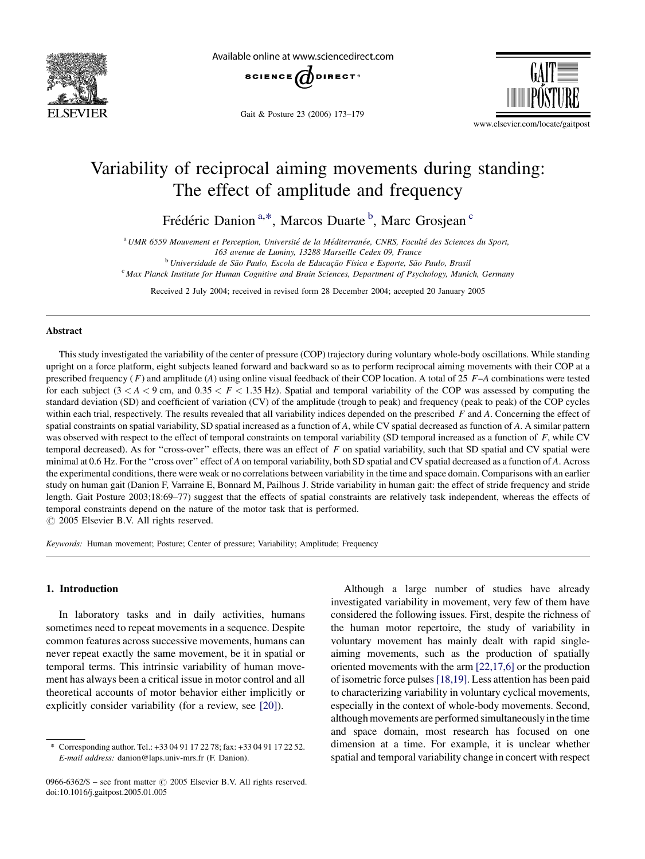

Available online at www.sciencedirect.com



Gait & Posture 23 (2006) 173–179



www.elsevier.com/locate/gaitpost

# Variability of reciprocal aiming movements during standing: The effect of amplitude and frequency

Frédéric Danion<sup>a,\*</sup>, Marcos Duarte <sup>b</sup>, Marc Grosjean <sup>c</sup>

<sup>a</sup> UMR 6559 Mouvement et Perception, Université de la Méditerranée, CNRS, Faculté des Sciences du Sport, 163 avenue de Luminy, 13288 Marseille Cedex 09, France

<sup>b</sup> Universidade de São Paulo, Escola de Educação Física e Esporte, São Paulo, Brasil

<sup>c</sup> Max Planck Institute for Human Cognitive and Brain Sciences, Department of Psychology, Munich, Germany

Received 2 July 2004; received in revised form 28 December 2004; accepted 20 January 2005

#### Abstract

This study investigated the variability of the center of pressure (COP) trajectory during voluntary whole-body oscillations. While standing upright on a force platform, eight subjects leaned forward and backward so as to perform reciprocal aiming movements with their COP at a prescribed frequency  $(F)$  and amplitude  $(A)$  using online visual feedback of their COP location. A total of 25  $F-A$  combinations were tested for each subject  $(3 < A < 9$  cm, and  $0.35 < F < 1.35$  Hz). Spatial and temporal variability of the COP was assessed by computing the standard deviation (SD) and coefficient of variation (CV) of the amplitude (trough to peak) and frequency (peak to peak) of the COP cycles within each trial, respectively. The results revealed that all variability indices depended on the prescribed  $F$  and  $A$ . Concerning the effect of spatial constraints on spatial variability, SD spatial increased as a function of A, while CV spatial decreased as function of A. A similar pattern was observed with respect to the effect of temporal constraints on temporal variability (SD temporal increased as a function of F, while CV temporal decreased). As for "cross-over" effects, there was an effect of  $F$  on spatial variability, such that SD spatial and CV spatial were minimal at 0.6 Hz. For the ''cross over'' effect of A on temporal variability, both SD spatial and CV spatial decreased as a function of A. Across the experimental conditions, there were weak or no correlations between variability in the time and space domain. Comparisons with an earlier study on human gait (Danion F, Varraine E, Bonnard M, Pailhous J. Stride variability in human gait: the effect of stride frequency and stride length. Gait Posture 2003;18:69–77) suggest that the effects of spatial constraints are relatively task independent, whereas the effects of temporal constraints depend on the nature of the motor task that is performed.

 $\odot$  2005 Elsevier B.V. All rights reserved.

Keywords: Human movement; Posture; Center of pressure; Variability; Amplitude; Frequency

# 1. Introduction

In laboratory tasks and in daily activities, humans sometimes need to repeat movements in a sequence. Despite common features across successive movements, humans can never repeat exactly the same movement, be it in spatial or temporal terms. This intrinsic variability of human movement has always been a critical issue in motor control and all theoretical accounts of motor behavior either implicitly or explicitly consider variability (for a review, see [\[20\]](#page-6-0)).

Although a large number of studies have already investigated variability in movement, very few of them have considered the following issues. First, despite the richness of the human motor repertoire, the study of variability in voluntary movement has mainly dealt with rapid singleaiming movements, such as the production of spatially oriented movements with the arm [\[22,17,6\]](#page-6-0) or the production of isometric force pulses [\[18,19\]](#page-6-0). Less attention has been paid to characterizing variability in voluntary cyclical movements, especially in the context of whole-body movements. Second, although movements are performed simultaneously in the time and space domain, most research has focused on one dimension at a time. For example, it is unclear whether spatial and temporal variability change in concert with respect

Corresponding author. Tel.: +33 04 91 17 22 78; fax: +33 04 91 17 22 52. E-mail address: danion@laps.univ-mrs.fr (F. Danion).

<sup>0966-6362/\$ –</sup> see front matter  $\odot$  2005 Elsevier B.V. All rights reserved. doi:10.1016/j.gaitpost.2005.01.005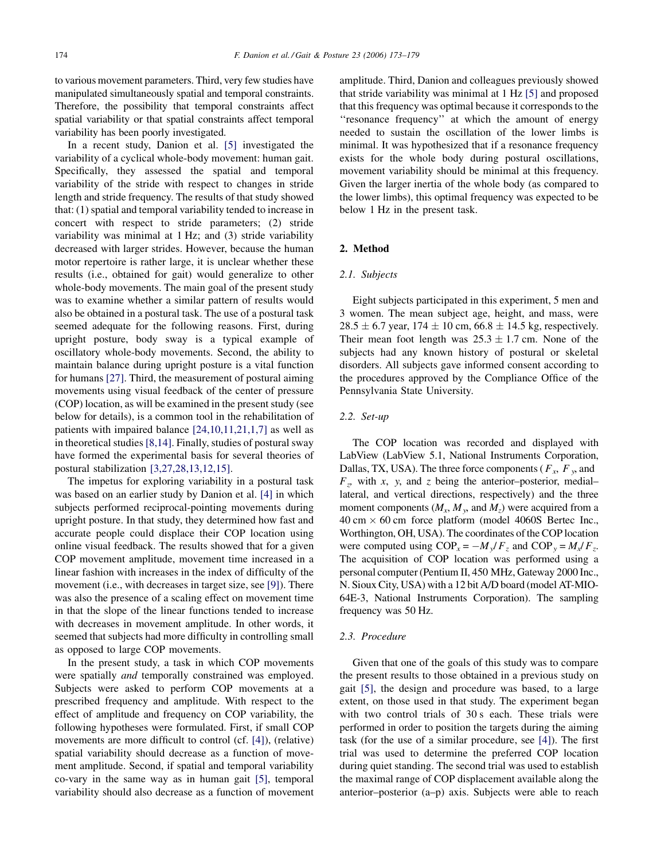to various movement parameters. Third, very few studies have manipulated simultaneously spatial and temporal constraints. Therefore, the possibility that temporal constraints affect spatial variability or that spatial constraints affect temporal variability has been poorly investigated.

In a recent study, Danion et al. [\[5\]](#page-6-0) investigated the variability of a cyclical whole-body movement: human gait. Specifically, they assessed the spatial and temporal variability of the stride with respect to changes in stride length and stride frequency. The results of that study showed that: (1) spatial and temporal variability tended to increase in concert with respect to stride parameters; (2) stride variability was minimal at 1 Hz; and (3) stride variability decreased with larger strides. However, because the human motor repertoire is rather large, it is unclear whether these results (i.e., obtained for gait) would generalize to other whole-body movements. The main goal of the present study was to examine whether a similar pattern of results would also be obtained in a postural task. The use of a postural task seemed adequate for the following reasons. First, during upright posture, body sway is a typical example of oscillatory whole-body movements. Second, the ability to maintain balance during upright posture is a vital function for humans [\[27\].](#page-6-0) Third, the measurement of postural aiming movements using visual feedback of the center of pressure (COP) location, as will be examined in the present study (see below for details), is a common tool in the rehabilitation of patients with impaired balance [\[24,10,11,21,1,7\]](#page-6-0) as well as in theoretical studies [\[8,14\].](#page-6-0) Finally, studies of postural sway have formed the experimental basis for several theories of postural stabilization [\[3,27,28,13,12,15\].](#page-6-0)

The impetus for exploring variability in a postural task was based on an earlier study by Danion et al. [\[4\]](#page-6-0) in which subjects performed reciprocal-pointing movements during upright posture. In that study, they determined how fast and accurate people could displace their COP location using online visual feedback. The results showed that for a given COP movement amplitude, movement time increased in a linear fashion with increases in the index of difficulty of the movement (i.e., with decreases in target size, see [\[9\]](#page-6-0)). There was also the presence of a scaling effect on movement time in that the slope of the linear functions tended to increase with decreases in movement amplitude. In other words, it seemed that subjects had more difficulty in controlling small as opposed to large COP movements.

In the present study, a task in which COP movements were spatially and temporally constrained was employed. Subjects were asked to perform COP movements at a prescribed frequency and amplitude. With respect to the effect of amplitude and frequency on COP variability, the following hypotheses were formulated. First, if small COP movements are more difficult to control (cf. [\[4\]](#page-6-0)), (relative) spatial variability should decrease as a function of movement amplitude. Second, if spatial and temporal variability co-vary in the same way as in human gait [\[5\]](#page-6-0), temporal variability should also decrease as a function of movement amplitude. Third, Danion and colleagues previously showed that stride variability was minimal at 1 Hz [\[5\]](#page-6-0) and proposed that this frequency was optimal because it corresponds to the ''resonance frequency'' at which the amount of energy needed to sustain the oscillation of the lower limbs is minimal. It was hypothesized that if a resonance frequency exists for the whole body during postural oscillations, movement variability should be minimal at this frequency. Given the larger inertia of the whole body (as compared to the lower limbs), this optimal frequency was expected to be below 1 Hz in the present task.

# 2. Method

# 2.1. Subjects

Eight subjects participated in this experiment, 5 men and 3 women. The mean subject age, height, and mass, were  $28.5 \pm 6.7$  year,  $174 \pm 10$  cm,  $66.8 \pm 14.5$  kg, respectively. Their mean foot length was  $25.3 \pm 1.7$  cm. None of the subjects had any known history of postural or skeletal disorders. All subjects gave informed consent according to the procedures approved by the Compliance Office of the Pennsylvania State University.

#### 2.2. Set-up

The COP location was recorded and displayed with LabView (LabView 5.1, National Instruments Corporation, Dallas, TX, USA). The three force components ( $F_x$ ,  $F_y$  and  $F<sub>z</sub>$  with x, y, and z being the anterior–posterior, medial– lateral, and vertical directions, respectively) and the three moment components  $(M_x, M_y, \text{ and } M_z)$  were acquired from a  $40 \text{ cm} \times 60 \text{ cm}$  force platform (model 4060S Bertec Inc., Worthington, OH, USA). The coordinates of the COP location were computed using  $COP_x = -M_y/F_z$  and  $COP_y = M_x/F_z$ . The acquisition of COP location was performed using a personal computer (Pentium II, 450 MHz, Gateway 2000 Inc., N. Sioux City, USA) with a 12 bit A/D board (model AT-MIO-64E-3, National Instruments Corporation). The sampling frequency was 50 Hz.

## 2.3. Procedure

Given that one of the goals of this study was to compare the present results to those obtained in a previous study on gait [\[5\],](#page-6-0) the design and procedure was based, to a large extent, on those used in that study. The experiment began with two control trials of 30 s each. These trials were performed in order to position the targets during the aiming task (for the use of a similar procedure, see [\[4\]\)](#page-6-0). The first trial was used to determine the preferred COP location during quiet standing. The second trial was used to establish the maximal range of COP displacement available along the anterior–posterior (a–p) axis. Subjects were able to reach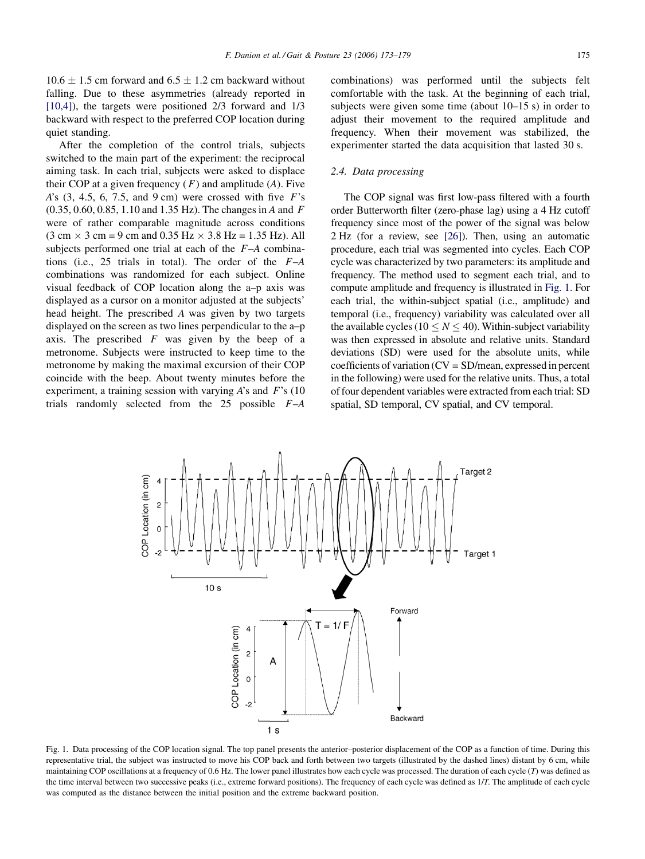$10.6 \pm 1.5$  cm forward and  $6.5 \pm 1.2$  cm backward without falling. Due to these asymmetries (already reported in [\[10,4\]\)](#page-6-0), the targets were positioned 2/3 forward and 1/3 backward with respect to the preferred COP location during quiet standing.

After the completion of the control trials, subjects switched to the main part of the experiment: the reciprocal aiming task. In each trial, subjects were asked to displace their COP at a given frequency  $(F)$  and amplitude  $(A)$ . Five A's  $(3, 4.5, 6, 7.5,$  and  $9 \text{ cm})$  were crossed with five F's (0.35, 0.60, 0.85, 1.10 and 1.35 Hz). The changes in A and F were of rather comparable magnitude across conditions  $(3 \text{ cm} \times 3 \text{ cm} = 9 \text{ cm} \text{ and } 0.35 \text{ Hz} \times 3.8 \text{ Hz} = 1.35 \text{ Hz}$ . All subjects performed one trial at each of the F–A combinations (i.e., 25 trials in total). The order of the  $F-A$ combinations was randomized for each subject. Online visual feedback of COP location along the a–p axis was displayed as a cursor on a monitor adjusted at the subjects' head height. The prescribed A was given by two targets displayed on the screen as two lines perpendicular to the a–p axis. The prescribed  $F$  was given by the beep of a metronome. Subjects were instructed to keep time to the metronome by making the maximal excursion of their COP coincide with the beep. About twenty minutes before the experiment, a training session with varying  $\vec{A}$ 's and  $\vec{F}$ 's (10) trials randomly selected from the 25 possible F–A

combinations) was performed until the subjects felt comfortable with the task. At the beginning of each trial, subjects were given some time (about 10–15 s) in order to adjust their movement to the required amplitude and frequency. When their movement was stabilized, the experimenter started the data acquisition that lasted 30 s.

# 2.4. Data processing

The COP signal was first low-pass filtered with a fourth order Butterworth filter (zero-phase lag) using a 4 Hz cutoff frequency since most of the power of the signal was below 2 Hz (for a review, see [\[26\]](#page-6-0)). Then, using an automatic procedure, each trial was segmented into cycles. Each COP cycle was characterized by two parameters: its amplitude and frequency. The method used to segment each trial, and to compute amplitude and frequency is illustrated in Fig. 1. For each trial, the within-subject spatial (i.e., amplitude) and temporal (i.e., frequency) variability was calculated over all the available cycles (10  $\leq$  N  $\leq$  40). Within-subject variability was then expressed in absolute and relative units. Standard deviations (SD) were used for the absolute units, while coefficients of variation (CV = SD/mean, expressed in percent in the following) were used for the relative units. Thus, a total of four dependent variables were extracted from each trial: SD spatial, SD temporal, CV spatial, and CV temporal.



Fig. 1. Data processing of the COP location signal. The top panel presents the anterior–posterior displacement of the COP as a function of time. During this representative trial, the subject was instructed to move his COP back and forth between two targets (illustrated by the dashed lines) distant by 6 cm, while maintaining COP oscillations at a frequency of  $0.6$  Hz. The lower panel illustrates how each cycle was processed. The duration of each cycle (T) was defined as the time interval between two successive peaks (i.e., extreme forward positions). The frequency of each cycle was defined as  $1/T$ . The amplitude of each cycle was computed as the distance between the initial position and the extreme backward position.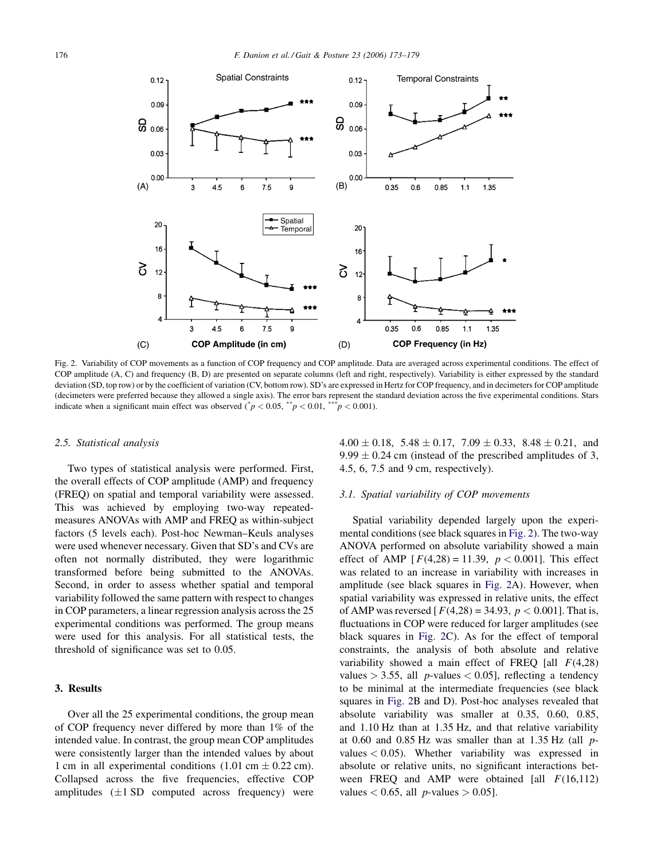<span id="page-3-0"></span>

Fig. 2. Variability of COP movements as a function of COP frequency and COP amplitude. Data are averaged across experimental conditions. The effect of COP amplitude (A, C) and frequency (B, D) are presented on separate columns (left and right, respectively). Variability is either expressed by the standard deviation (SD, top row) or by the coefficient of variation (CV, bottom row). SD's are expressed in Hertz for COP frequency, and in decimeters for COP amplitude (decimeters were preferred because they allowed a single axis). The error bars represent the standard deviation across the five experimental conditions. Stars indicate when a significant main effect was observed  $\binom{*}{p} < 0.05$ ,  $^{**}p < 0.01$ ,  $^{***}p < 0.001$ ).

#### 2.5. Statistical analysis

Two types of statistical analysis were performed. First, the overall effects of COP amplitude (AMP) and frequency (FREQ) on spatial and temporal variability were assessed. This was achieved by employing two-way repeatedmeasures ANOVAs with AMP and FREQ as within-subject factors (5 levels each). Post-hoc Newman–Keuls analyses were used whenever necessary. Given that SD's and CVs are often not normally distributed, they were logarithmic transformed before being submitted to the ANOVAs. Second, in order to assess whether spatial and temporal variability followed the same pattern with respect to changes in COP parameters, a linear regression analysis across the 25 experimental conditions was performed. The group means were used for this analysis. For all statistical tests, the threshold of significance was set to 0.05.

# 3. Results

Over all the 25 experimental conditions, the group mean of COP frequency never differed by more than 1% of the intended value. In contrast, the group mean COP amplitudes were consistently larger than the intended values by about 1 cm in all experimental conditions (1.01 cm  $\pm$  0.22 cm). Collapsed across the five frequencies, effective COP amplitudes  $(\pm 1 \text{ SD}$  computed across frequency) were  $4.00 \pm 0.18$ ,  $5.48 \pm 0.17$ ,  $7.09 \pm 0.33$ ,  $8.48 \pm 0.21$ , and  $9.99 \pm 0.24$  cm (instead of the prescribed amplitudes of 3, 4.5, 6, 7.5 and 9 cm, respectively).

## 3.1. Spatial variability of COP movements

Spatial variability depended largely upon the experimental conditions (see black squares in Fig. 2). The two-way ANOVA performed on absolute variability showed a main effect of AMP  $[F(4,28) = 11.39, p < 0.001]$ . This effect was related to an increase in variability with increases in amplitude (see black squares in Fig. 2A). However, when spatial variability was expressed in relative units, the effect of AMP was reversed  $[ F(4,28) = 34.93, p < 0.001 ]$ . That is, fluctuations in COP were reduced for larger amplitudes (see black squares in Fig. 2C). As for the effect of temporal constraints, the analysis of both absolute and relative variability showed a main effect of FREQ [all  $F(4,28)$ ] values  $> 3.55$ , all *p*-values  $< 0.05$ ], reflecting a tendency to be minimal at the intermediate frequencies (see black squares in Fig. 2B and D). Post-hoc analyses revealed that absolute variability was smaller at 0.35, 0.60, 0.85, and 1.10 Hz than at 1.35 Hz, and that relative variability at 0.60 and 0.85 Hz was smaller than at 1.35 Hz (all  $p$ values  $< 0.05$ ). Whether variability was expressed in absolute or relative units, no significant interactions between FREQ and AMP were obtained [all  $F(16,112)$ ] values  $< 0.65$ , all *p*-values  $> 0.05$ ].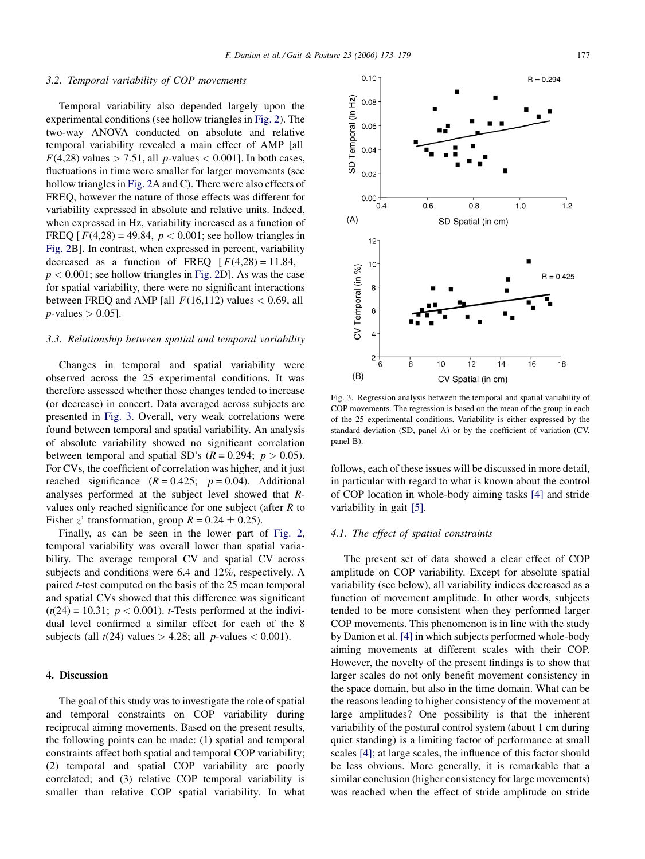## 3.2. Temporal variability of COP movements

Temporal variability also depended largely upon the experimental conditions (see hollow triangles in [Fig. 2](#page-3-0)). The two-way ANOVA conducted on absolute and relative temporal variability revealed a main effect of AMP [all  $F(4,28)$  values  $> 7.51$ , all p-values  $< 0.001$ ]. In both cases, fluctuations in time were smaller for larger movements (see hollow triangles in [Fig. 2A](#page-3-0) and C). There were also effects of FREQ, however the nature of those effects was different for variability expressed in absolute and relative units. Indeed, when expressed in Hz, variability increased as a function of FREQ  $[F(4,28) = 49.84, p < 0.001$ ; see hollow triangles in [Fig. 2B](#page-3-0)]. In contrast, when expressed in percent, variability decreased as a function of FREQ  $[F(4,28) = 11.84]$ ,  $p < 0.001$ ; see hollow triangles in [Fig. 2](#page-3-0)D]. As was the case for spatial variability, there were no significant interactions between FREQ and AMP [all  $F(16,112)$  values  $< 0.69$ , all  $p$ -values  $> 0.05$ ].

## 3.3. Relationship between spatial and temporal variability

Changes in temporal and spatial variability were observed across the 25 experimental conditions. It was therefore assessed whether those changes tended to increase (or decrease) in concert. Data averaged across subjects are presented in Fig. 3. Overall, very weak correlations were found between temporal and spatial variability. An analysis of absolute variability showed no significant correlation between temporal and spatial SD's  $(R = 0.294; p > 0.05)$ . For CVs, the coefficient of correlation was higher, and it just reached significance  $(R = 0.425; p = 0.04)$ . Additional analyses performed at the subject level showed that Rvalues only reached significance for one subject (after  $R$  to Fisher z' transformation, group  $R = 0.24 \pm 0.25$ .

Finally, as can be seen in the lower part of [Fig. 2](#page-3-0), temporal variability was overall lower than spatial variability. The average temporal CV and spatial CV across subjects and conditions were 6.4 and 12%, respectively. A paired t-test computed on the basis of the 25 mean temporal and spatial CVs showed that this difference was significant  $(t(24) = 10.31$ ;  $p < 0.001$ ). *t*-Tests performed at the individual level confirmed a similar effect for each of the 8 subjects (all  $t(24)$  values > 4.28; all p-values < 0.001).

# 4. Discussion

The goal of this study was to investigate the role of spatial and temporal constraints on COP variability during reciprocal aiming movements. Based on the present results, the following points can be made: (1) spatial and temporal constraints affect both spatial and temporal COP variability; (2) temporal and spatial COP variability are poorly correlated; and (3) relative COP temporal variability is smaller than relative COP spatial variability. In what



Fig. 3. Regression analysis between the temporal and spatial variability of COP movements. The regression is based on the mean of the group in each of the 25 experimental conditions. Variability is either expressed by the standard deviation (SD, panel A) or by the coefficient of variation (CV, panel B).

follows, each of these issues will be discussed in more detail, in particular with regard to what is known about the control of COP location in whole-body aiming tasks [\[4\]](#page-6-0) and stride variability in gait [\[5\]](#page-6-0).

#### 4.1. The effect of spatial constraints

The present set of data showed a clear effect of COP amplitude on COP variability. Except for absolute spatial variability (see below), all variability indices decreased as a function of movement amplitude. In other words, subjects tended to be more consistent when they performed larger COP movements. This phenomenon is in line with the study by Danion et al. [\[4\]](#page-6-0) in which subjects performed whole-body aiming movements at different scales with their COP. However, the novelty of the present findings is to show that larger scales do not only benefit movement consistency in the space domain, but also in the time domain. What can be the reasons leading to higher consistency of the movement at large amplitudes? One possibility is that the inherent variability of the postural control system (about 1 cm during quiet standing) is a limiting factor of performance at small scales [\[4\];](#page-6-0) at large scales, the influence of this factor should be less obvious. More generally, it is remarkable that a similar conclusion (higher consistency for large movements) was reached when the effect of stride amplitude on stride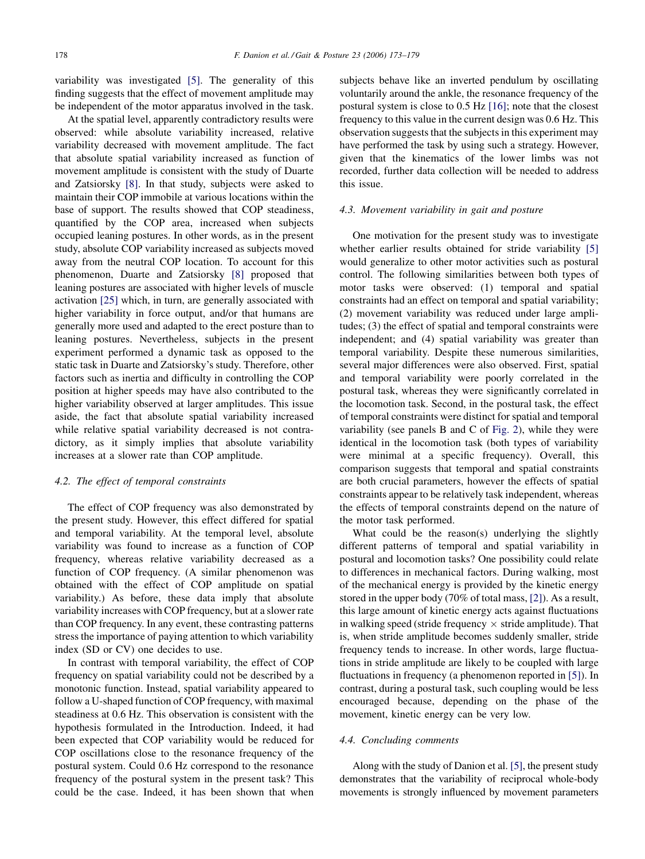variability was investigated [\[5\].](#page-6-0) The generality of this finding suggests that the effect of movement amplitude may be independent of the motor apparatus involved in the task.

At the spatial level, apparently contradictory results were observed: while absolute variability increased, relative variability decreased with movement amplitude. The fact that absolute spatial variability increased as function of movement amplitude is consistent with the study of Duarte and Zatsiorsky [\[8\].](#page-6-0) In that study, subjects were asked to maintain their COP immobile at various locations within the base of support. The results showed that COP steadiness, quantified by the COP area, increased when subjects occupied leaning postures. In other words, as in the present study, absolute COP variability increased as subjects moved away from the neutral COP location. To account for this phenomenon, Duarte and Zatsiorsky [\[8\]](#page-6-0) proposed that leaning postures are associated with higher levels of muscle activation [\[25\]](#page-6-0) which, in turn, are generally associated with higher variability in force output, and/or that humans are generally more used and adapted to the erect posture than to leaning postures. Nevertheless, subjects in the present experiment performed a dynamic task as opposed to the static task in Duarte and Zatsiorsky's study. Therefore, other factors such as inertia and difficulty in controlling the COP position at higher speeds may have also contributed to the higher variability observed at larger amplitudes. This issue aside, the fact that absolute spatial variability increased while relative spatial variability decreased is not contradictory, as it simply implies that absolute variability increases at a slower rate than COP amplitude.

# 4.2. The effect of temporal constraints

The effect of COP frequency was also demonstrated by the present study. However, this effect differed for spatial and temporal variability. At the temporal level, absolute variability was found to increase as a function of COP frequency, whereas relative variability decreased as a function of COP frequency. (A similar phenomenon was obtained with the effect of COP amplitude on spatial variability.) As before, these data imply that absolute variability increases with COP frequency, but at a slower rate than COP frequency. In any event, these contrasting patterns stress the importance of paying attention to which variability index (SD or CV) one decides to use.

In contrast with temporal variability, the effect of COP frequency on spatial variability could not be described by a monotonic function. Instead, spatial variability appeared to follow a U-shaped function of COP frequency, with maximal steadiness at 0.6 Hz. This observation is consistent with the hypothesis formulated in the Introduction. Indeed, it had been expected that COP variability would be reduced for COP oscillations close to the resonance frequency of the postural system. Could 0.6 Hz correspond to the resonance frequency of the postural system in the present task? This could be the case. Indeed, it has been shown that when

subjects behave like an inverted pendulum by oscillating voluntarily around the ankle, the resonance frequency of the postural system is close to 0.5 Hz [\[16\];](#page-6-0) note that the closest frequency to this value in the current design was 0.6 Hz. This observation suggests that the subjects in this experiment may have performed the task by using such a strategy. However, given that the kinematics of the lower limbs was not recorded, further data collection will be needed to address this issue.

## 4.3. Movement variability in gait and posture

One motivation for the present study was to investigate whether earlier results obtained for stride variability [\[5\]](#page-6-0) would generalize to other motor activities such as postural control. The following similarities between both types of motor tasks were observed: (1) temporal and spatial constraints had an effect on temporal and spatial variability; (2) movement variability was reduced under large amplitudes; (3) the effect of spatial and temporal constraints were independent; and (4) spatial variability was greater than temporal variability. Despite these numerous similarities, several major differences were also observed. First, spatial and temporal variability were poorly correlated in the postural task, whereas they were significantly correlated in the locomotion task. Second, in the postural task, the effect of temporal constraints were distinct for spatial and temporal variability (see panels B and C of [Fig. 2\)](#page-3-0), while they were identical in the locomotion task (both types of variability were minimal at a specific frequency). Overall, this comparison suggests that temporal and spatial constraints are both crucial parameters, however the effects of spatial constraints appear to be relatively task independent, whereas the effects of temporal constraints depend on the nature of the motor task performed.

What could be the reason(s) underlying the slightly different patterns of temporal and spatial variability in postural and locomotion tasks? One possibility could relate to differences in mechanical factors. During walking, most of the mechanical energy is provided by the kinetic energy stored in the upper body (70% of total mass, [\[2\]\)](#page-6-0). As a result, this large amount of kinetic energy acts against fluctuations in walking speed (stride frequency  $\times$  stride amplitude). That is, when stride amplitude becomes suddenly smaller, stride frequency tends to increase. In other words, large fluctuations in stride amplitude are likely to be coupled with large fluctuations in frequency (a phenomenon reported in [\[5\]](#page-6-0)). In contrast, during a postural task, such coupling would be less encouraged because, depending on the phase of the movement, kinetic energy can be very low.

## 4.4. Concluding comments

Along with the study of Danion et al. [\[5\],](#page-6-0) the present study demonstrates that the variability of reciprocal whole-body movements is strongly influenced by movement parameters